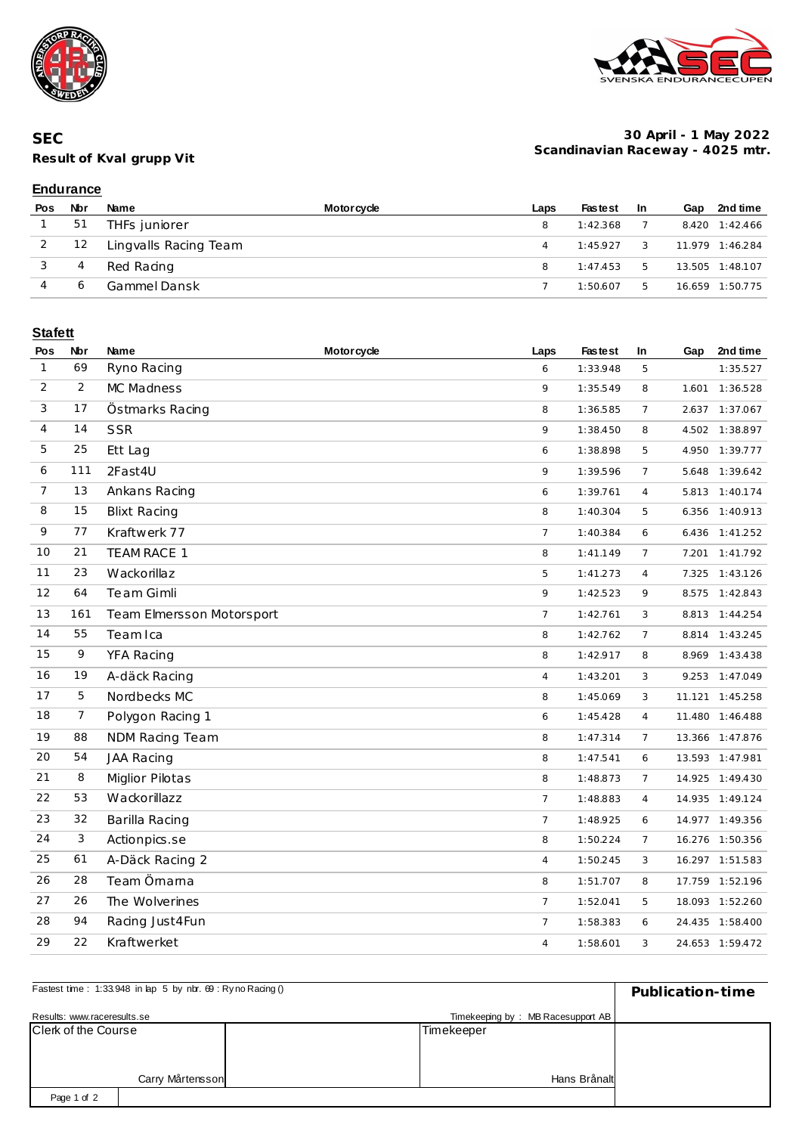





#### **30 April - 1 May 2022 Scandinavian Raceway - 4025 mtr.**

### **Endurance**

| Pos | Nbr | Name                  | <b>Motorcycle</b> | Laps | <b>Fastest</b> | -In | Gap | 2nd time        |
|-----|-----|-----------------------|-------------------|------|----------------|-----|-----|-----------------|
|     | 51  | THFs juniorer         |                   | 8    | 1:42.368       |     |     | 8.420 1:42.466  |
|     | 12  | Lingvalls Racing Team |                   |      | 1:45.927       | 3   |     | 11.979 1:46.284 |
|     | 4   | Red Racing            |                   | 8    | 1:47.453       | 5   |     | 13.505 1:48.107 |
|     | 6   | Gammel Dansk          |                   |      | 1:50.607       | 5.  |     | 16.659 1:50.775 |

### **Stafett**

| Pos            | Nbr | Name                      | <b>Motorcycle</b> | Laps           | <b>Fastest</b> | In             | Gap   | 2nd time        |
|----------------|-----|---------------------------|-------------------|----------------|----------------|----------------|-------|-----------------|
| $\mathbf{1}$   | 69  | Ryno Racing               |                   | 6              | 1:33.948       | 5              |       | 1:35.527        |
| 2              | 2   | MC Madness                |                   | 9              | 1:35.549       | 8              |       | 1.601 1:36.528  |
| 3              | 17  | Östmarks Racing           |                   | 8              | 1:36.585       | $\overline{7}$ |       | 2.637 1:37.067  |
| 4              | 14  | <b>SSR</b>                |                   | 9              | 1:38.450       | 8              |       | 4.502 1:38.897  |
| 5              | 25  | Ett Lag                   |                   | 6              | 1:38.898       | 5              |       | 4.950 1:39.777  |
| 6              | 111 | 2Fast4U                   |                   | 9              | 1:39.596       | $\overline{7}$ |       | 5.648 1:39.642  |
| $\overline{7}$ | 13  | Ankans Racing             |                   | 6              | 1:39.761       | $\overline{4}$ |       | 5.813 1:40.174  |
| 8              | 15  | <b>Blixt Racing</b>       |                   | 8              | 1:40.304       | 5              |       | 6.356 1:40.913  |
| 9              | 77  | Kraftwerk 77              |                   | $\overline{7}$ | 1:40.384       | 6              |       | 6.436 1:41.252  |
| 10             | 21  | TEAM RACE 1               |                   | 8              | 1:41.149       | $\overline{7}$ |       | 7.201 1:41.792  |
| 11             | 23  | Wackorillaz               |                   | 5              | 1:41.273       | $\overline{4}$ | 7.325 | 1:43.126        |
| 12             | 64  | Te am Gimli               |                   | 9              | 1:42.523       | 9              |       | 8.575 1:42.843  |
| 13             | 161 | Team Elmersson Motorsport |                   | $\overline{7}$ | 1:42.761       | 3              |       | 8.813 1:44.254  |
| 14             | 55  | Team Ica                  |                   | 8              | 1:42.762       | $\overline{7}$ | 8.814 | 1:43.245        |
| 15             | 9   | YFA Racing                |                   | 8              | 1:42.917       | 8              |       | 8.969 1:43.438  |
| 16             | 19  | A-däck Racing             |                   | $\overline{4}$ | 1:43.201       | 3              |       | 9.253 1:47.049  |
| 17             | 5   | Nordbecks MC              |                   | 8              | 1:45.069       | 3              |       | 11.121 1:45.258 |
| 18             | 7   | Polygon Racing 1          |                   | 6              | 1:45.428       | $\overline{4}$ |       | 11.480 1:46.488 |
| 19             | 88  | NDM Racing Team           |                   | 8              | 1:47.314       | $\overline{7}$ |       | 13.366 1:47.876 |
| 20             | 54  | <b>JAA Racing</b>         |                   | 8              | 1:47.541       | 6              |       | 13.593 1:47.981 |
| 21             | 8   | <b>Miglior Pilotas</b>    |                   | 8              | 1:48.873       | $\overline{7}$ |       | 14.925 1:49.430 |
| 22             | 53  | Wackorillazz              |                   | $\overline{7}$ | 1:48.883       | $\overline{4}$ |       | 14.935 1:49.124 |
| 23             | 32  | Barilla Racing            |                   | $\overline{7}$ | 1:48.925       | 6              |       | 14.977 1:49.356 |
| 24             | 3   | Actionpics.se             |                   | 8              | 1:50.224       | $\overline{7}$ |       | 16.276 1:50.356 |
| 25             | 61  | A-Däck Racing 2           |                   | $\overline{4}$ | 1:50.245       | 3              |       | 16.297 1:51.583 |
| 26             | 28  | Team Örnama               |                   | 8              | 1:51.707       | 8              |       | 17.759 1:52.196 |
| 27             | 26  | The Wolverines            |                   | $\overline{7}$ | 1:52.041       | 5              |       | 18.093 1:52.260 |
| 28             | 94  | Racing Just4Fun           |                   | $\overline{7}$ | 1:58.383       | 6              |       | 24.435 1:58.400 |
| 29             | 22  | Kraftwerket               |                   | $\overline{4}$ | 1:58.601       | 3              |       | 24.653 1:59.472 |

| Fastest time: 1:33.948 in lap 5 by nbr. 69 : Ryno Racing () | Publication-time |  |                                   |  |
|-------------------------------------------------------------|------------------|--|-----------------------------------|--|
| Results: www.raceresults.se                                 |                  |  | Timekeeping by: MB Racesupport AB |  |
| Clerk of the Course                                         |                  |  | Timekeeper                        |  |
|                                                             |                  |  |                                   |  |
|                                                             |                  |  |                                   |  |
|                                                             | Carry Mårtensson |  | Hans Brånalt                      |  |
| Page 1 of 2                                                 |                  |  |                                   |  |